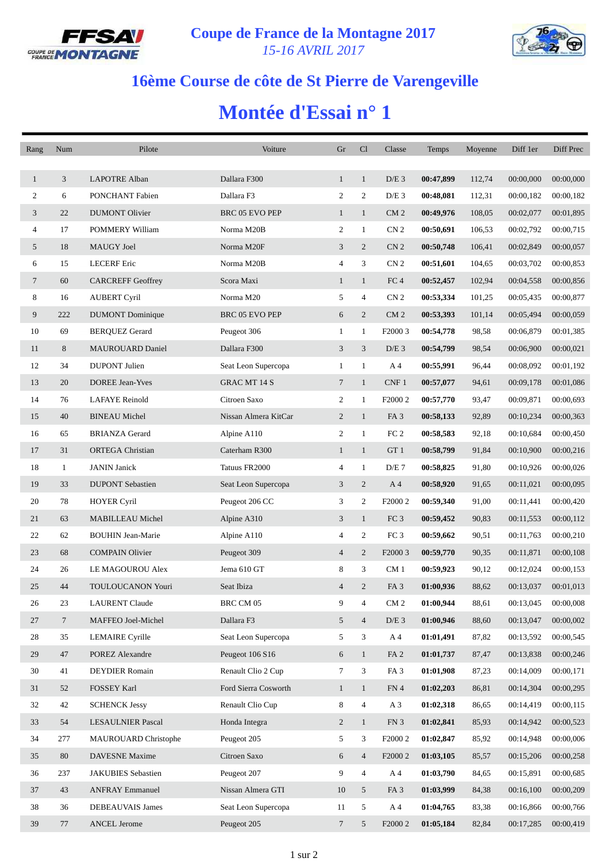



## **16ème Course de côte de St Pierre de Varengeville**

## **Montée d'Essai n° 1**

| Rang           | Num             | Pilote                   | Voiture               | Gr                       | Cl             | Classe              | Temps     | Moyenne | Diff 1er  | Diff Prec |
|----------------|-----------------|--------------------------|-----------------------|--------------------------|----------------|---------------------|-----------|---------|-----------|-----------|
|                |                 |                          |                       |                          |                |                     |           |         |           |           |
| $\mathbf{1}$   | 3               | <b>LAPOTRE Alban</b>     | Dallara F300          | $\mathbf{1}$             | $\mathbf{1}$   | $D/E$ 3             | 00:47,899 | 112,74  | 00:00,000 | 00:00,000 |
| 2              | 6               | PONCHANT Fabien          | Dallara F3            | $\overline{c}$           | 2              | $D/E$ 3             | 00:48,081 | 112,31  | 00:00,182 | 00:00,182 |
| 3              | 22              | <b>DUMONT Olivier</b>    | <b>BRC 05 EVO PEP</b> | $\mathbf{1}$             | $\mathbf{1}$   | CM <sub>2</sub>     | 00:49,976 | 108,05  | 00:02,077 | 00:01,895 |
| $\overline{4}$ | 17              | POMMERY William          | Norma M20B            | 2                        | $\mathbf{1}$   | CN <sub>2</sub>     | 00:50,691 | 106,53  | 00:02,792 | 00:00,715 |
| 5              | 18              | MAUGY Joel               | Norma M20F            | 3                        | $\overline{c}$ | CN <sub>2</sub>     | 00:50,748 | 106,41  | 00:02,849 | 00:00,057 |
| 6              | 15              | <b>LECERF</b> Eric       | Norma M20B            | 4                        | 3              | CN <sub>2</sub>     | 00:51,601 | 104,65  | 00:03,702 | 00:00,853 |
| 7              | 60              | <b>CARCREFF Geoffrey</b> | Scora Maxi            | $\mathbf{1}$             | $\mathbf{1}$   | FC <sub>4</sub>     | 00:52,457 | 102,94  | 00:04,558 | 00:00,856 |
| 8              | 16              | <b>AUBERT Cyril</b>      | Norma M20             | 5                        | 4              | CN <sub>2</sub>     | 00:53,334 | 101,25  | 00:05,435 | 00:00,877 |
| 9              | 222             | <b>DUMONT</b> Dominique  | BRC 05 EVO PEP        | 6                        | $\overline{2}$ | CM <sub>2</sub>     | 00:53,393 | 101,14  | 00:05,494 | 00:00,059 |
| 10             | 69              | <b>BERQUEZ Gerard</b>    | Peugeot 306           | 1                        | $\mathbf{1}$   | F2000 3             | 00:54,778 | 98,58   | 00:06,879 | 00:01,385 |
| 11             | 8               | <b>MAUROUARD Daniel</b>  | Dallara F300          | 3                        | 3              | $D/E$ 3             | 00:54,799 | 98,54   | 00:06,900 | 00:00,021 |
| 12             | 34              | <b>DUPONT</b> Julien     | Seat Leon Supercopa   | $\mathbf{1}$             | $\mathbf{1}$   | A 4                 | 00:55,991 | 96,44   | 00:08,092 | 00:01,192 |
| 13             | 20              | <b>DOREE Jean-Yves</b>   | <b>GRAC MT 14 S</b>   | $\tau$                   | $\mathbf{1}$   | CNF1                | 00:57,077 | 94,61   | 00:09,178 | 00:01,086 |
| 14             | 76              | <b>LAFAYE</b> Reinold    | Citroen Saxo          | 2                        | $\mathbf{1}$   | F <sub>2000</sub> 2 | 00:57,770 | 93,47   | 00:09,871 | 00:00,693 |
| 15             | 40              | <b>BINEAU Michel</b>     | Nissan Almera KitCar  | $\overline{c}$           | $\mathbf{1}$   | FA <sub>3</sub>     | 00:58,133 | 92,89   | 00:10,234 | 00:00,363 |
| 16             | 65              | <b>BRIANZA</b> Gerard    | Alpine A110           | $\overline{2}$           | $\mathbf{1}$   | FC <sub>2</sub>     | 00:58,583 | 92,18   | 00:10,684 | 00:00,450 |
| 17             | 31              | <b>ORTEGA</b> Christian  | Caterham R300         | $\mathbf{1}$             | $\mathbf{1}$   | GT 1                | 00:58,799 | 91,84   | 00:10,900 | 00:00,216 |
| 18             | 1               | <b>JANIN</b> Janick      | Tatuus FR2000         | 4                        | $\mathbf{1}$   | D/E 7               | 00:58,825 | 91,80   | 00:10,926 | 00:00,026 |
| 19             | 33              | <b>DUPONT Sebastien</b>  | Seat Leon Supercopa   | 3                        | $\overline{2}$ | A 4                 | 00:58,920 | 91,65   | 00:11,021 | 00:00,095 |
| 20             | 78              | <b>HOYER Cyril</b>       | Peugeot 206 CC        | 3                        | 2              | F <sub>2000</sub> 2 | 00:59,340 | 91,00   | 00:11,441 | 00:00,420 |
| 21             | 63              | MABILLEAU Michel         | Alpine A310           | 3                        | $\mathbf{1}$   | FC <sub>3</sub>     | 00:59,452 | 90,83   | 00:11,553 | 00:00,112 |
| 22             | 62              | <b>BOUHIN Jean-Marie</b> | Alpine A110           | 4                        | 2              | FC <sub>3</sub>     | 00:59,662 | 90,51   | 00:11,763 | 00:00,210 |
| 23             | 68              | <b>COMPAIN Olivier</b>   | Peugeot 309           | $\overline{\mathcal{A}}$ | $\overline{2}$ | F2000 3             | 00:59,770 | 90,35   | 00:11,871 | 00:00,108 |
| 24             | 26              | LE MAGOUROU Alex         | Jema 610 GT           | 8                        | 3              | CM <sub>1</sub>     | 00:59,923 | 90,12   | 00:12,024 | 00:00,153 |
| 25             | 44              | <b>TOULOUCANON Youri</b> | Seat Ibiza            | $\overline{4}$           | 2              | FA <sub>3</sub>     | 01:00,936 | 88,62   | 00:13,037 | 00:01,013 |
| 26             | 23              | <b>LAURENT Claude</b>    | BRC CM 05             | 9                        | 4              | CM <sub>2</sub>     | 01:00,944 | 88,61   | 00:13,045 | 00:00,008 |
| 27             | $7\phantom{.0}$ | MAFFEO Joel-Michel       | Dallara F3            | 5 <sup>5</sup>           | $\overline{4}$ | $D/E$ 3             | 01:00,946 | 88,60   | 00:13,047 | 00:00,002 |
| 28             | 35              | <b>LEMAIRE</b> Cyrille   | Seat Leon Supercopa   | 5                        | 3              | A 4                 | 01:01,491 | 87,82   | 00:13,592 | 00:00,545 |
| 29             | 47              | <b>POREZ Alexandre</b>   | Peugeot 106 S16       | 6                        | $\mathbf{1}$   | FA <sub>2</sub>     | 01:01,737 | 87,47   | 00:13,838 | 00:00,246 |
| 30             | 41              | <b>DEYDIER Romain</b>    | Renault Clio 2 Cup    | 7                        | 3              | FA <sub>3</sub>     | 01:01,908 | 87,23   | 00:14,009 | 00:00,171 |
| 31             | 52              | FOSSEY Karl              | Ford Sierra Cosworth  | $\mathbf{1}$             | $\mathbf{1}$   | FN 4                | 01:02,203 | 86,81   | 00:14,304 | 00:00,295 |
| 32             | 42              | <b>SCHENCK Jessy</b>     | Renault Clio Cup      | 8                        | $\overline{4}$ | $A_3$               | 01:02,318 | 86,65   | 00:14,419 | 00:00,115 |
| 33             | 54              | <b>LESAULNIER Pascal</b> | Honda Integra         | $\overline{c}$           | $\mathbf{1}$   | FN 3                | 01:02,841 | 85,93   | 00:14,942 | 00:00,523 |
| 34             | 277             | MAUROUARD Christophe     | Peugeot 205           | 5                        | 3              | F <sub>2000</sub> 2 | 01:02,847 | 85,92   | 00:14,948 | 00:00,006 |
| 35             | 80              | DAVESNE Maxime           | Citroen Saxo          | 6                        | $\overline{4}$ | F2000 2             | 01:03,105 | 85,57   | 00:15,206 | 00:00,258 |
| 36             | 237             | JAKUBIES Sebastien       | Peugeot 207           | 9                        | $\overline{4}$ | A 4                 | 01:03,790 | 84,65   | 00:15,891 | 00:00,685 |
| 37             | 43              | <b>ANFRAY Emmanuel</b>   | Nissan Almera GTI     | 10                       | 5              | FA <sub>3</sub>     | 01:03,999 | 84,38   | 00:16,100 | 00:00,209 |
| 38             | 36              | DEBEAUVAIS James         | Seat Leon Supercopa   | 11                       | 5              | A <sub>4</sub>      | 01:04,765 | 83,38   | 00:16,866 | 00:00,766 |
| 39             | 77              | <b>ANCEL Jerome</b>      | Peugeot 205           | 7                        | 5              | F <sub>2000</sub> 2 | 01:05,184 | 82,84   | 00:17,285 | 00:00,419 |